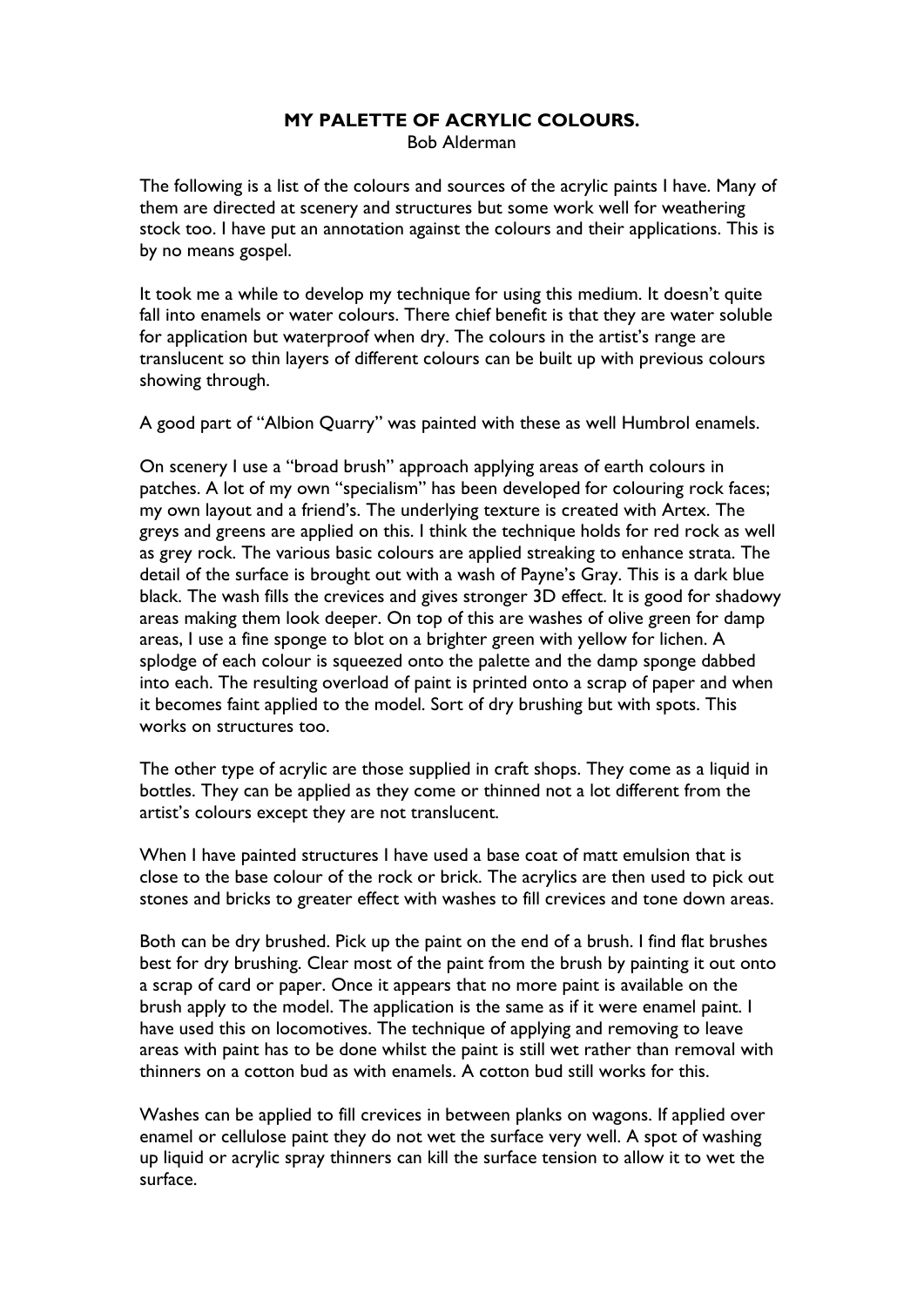## **MY PALETTE OF ACRYLIC COLOURS.**  Bob Alderman

The following is a list of the colours and sources of the acrylic paints I have. Many of them are directed at scenery and structures but some work well for weathering stock too. I have put an annotation against the colours and their applications. This is by no means gospel.

It took me a while to develop my technique for using this medium. It doesn't quite fall into enamels or water colours. There chief benefit is that they are water soluble for application but waterproof when dry. The colours in the artist's range are translucent so thin layers of different colours can be built up with previous colours showing through.

A good part of "Albion Quarry" was painted with these as well Humbrol enamels.

On scenery I use a "broad brush" approach applying areas of earth colours in patches. A lot of my own "specialism" has been developed for colouring rock faces; my own layout and a friend's. The underlying texture is created with Artex. The greys and greens are applied on this. I think the technique holds for red rock as well as grey rock. The various basic colours are applied streaking to enhance strata. The detail of the surface is brought out with a wash of Payne's Gray. This is a dark blue black. The wash fills the crevices and gives stronger 3D effect. It is good for shadowy areas making them look deeper. On top of this are washes of olive green for damp areas, I use a fine sponge to blot on a brighter green with yellow for lichen. A splodge of each colour is squeezed onto the palette and the damp sponge dabbed into each. The resulting overload of paint is printed onto a scrap of paper and when it becomes faint applied to the model. Sort of dry brushing but with spots. This works on structures too.

The other type of acrylic are those supplied in craft shops. They come as a liquid in bottles. They can be applied as they come or thinned not a lot different from the artist's colours except they are not translucent.

When I have painted structures I have used a base coat of matt emulsion that is close to the base colour of the rock or brick. The acrylics are then used to pick out stones and bricks to greater effect with washes to fill crevices and tone down areas.

Both can be dry brushed. Pick up the paint on the end of a brush. I find flat brushes best for dry brushing. Clear most of the paint from the brush by painting it out onto a scrap of card or paper. Once it appears that no more paint is available on the brush apply to the model. The application is the same as if it were enamel paint. I have used this on locomotives. The technique of applying and removing to leave areas with paint has to be done whilst the paint is still wet rather than removal with thinners on a cotton bud as with enamels. A cotton bud still works for this.

Washes can be applied to fill crevices in between planks on wagons. If applied over enamel or cellulose paint they do not wet the surface very well. A spot of washing up liquid or acrylic spray thinners can kill the surface tension to allow it to wet the surface.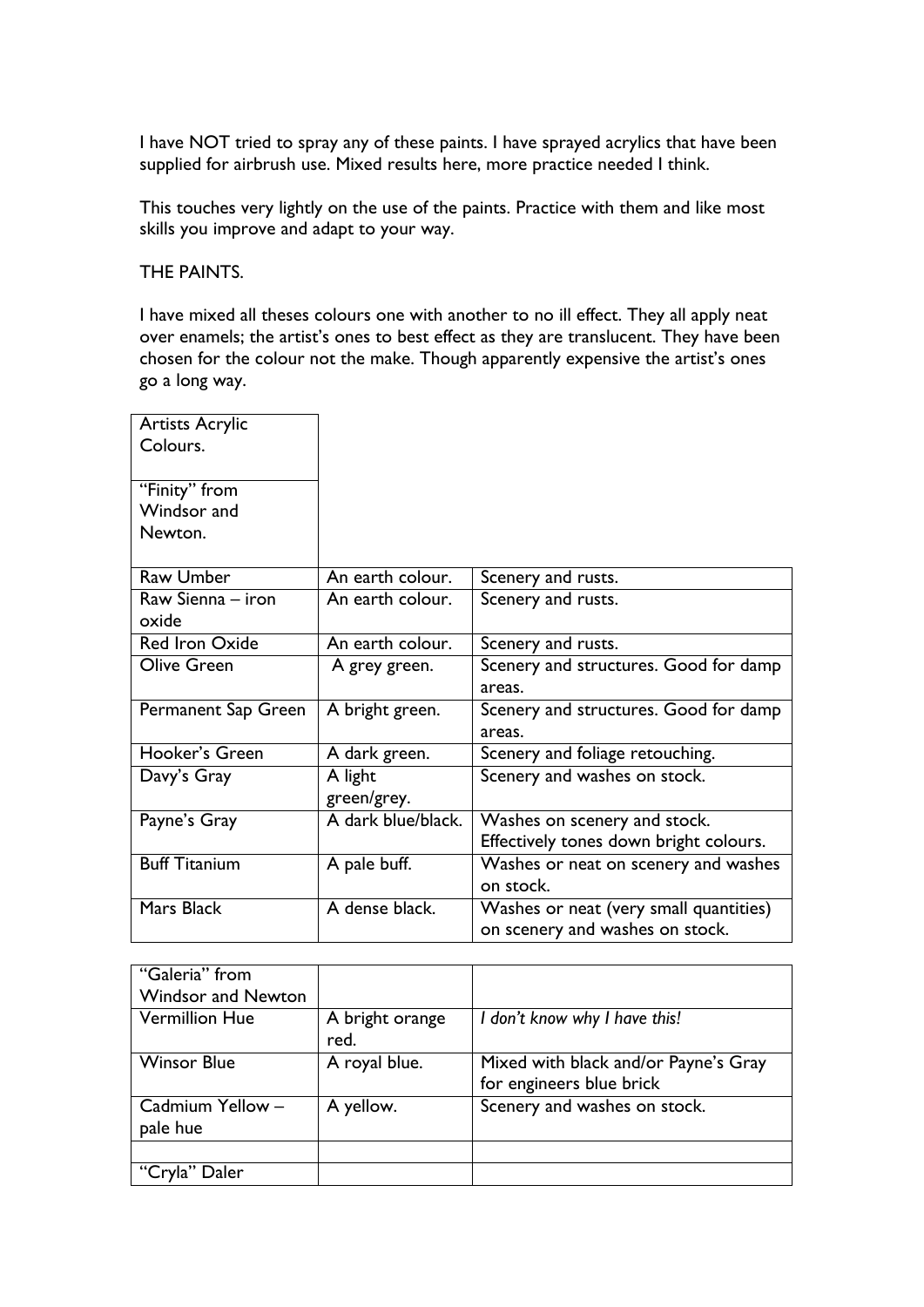I have NOT tried to spray any of these paints. I have sprayed acrylics that have been supplied for airbrush use. Mixed results here, more practice needed I think.

This touches very lightly on the use of the paints. Practice with them and like most skills you improve and adapt to your way.

THE PAINTS.

I have mixed all theses colours one with another to no ill effect. They all apply neat over enamels; the artist's ones to best effect as they are translucent. They have been chosen for the colour not the make. Though apparently expensive the artist's ones go a long way.

| An earth colour.   | Scenery and rusts.                     |
|--------------------|----------------------------------------|
| An earth colour.   | Scenery and rusts.                     |
|                    |                                        |
| An earth colour.   | Scenery and rusts.                     |
| A grey green.      | Scenery and structures. Good for damp  |
|                    | areas.                                 |
| A bright green.    | Scenery and structures. Good for damp  |
|                    | areas.                                 |
| A dark green.      | Scenery and foliage retouching.        |
|                    | Scenery and washes on stock.           |
| green/grey.        |                                        |
| A dark blue/black. | Washes on scenery and stock.           |
|                    | Effectively tones down bright colours. |
| A pale buff.       | Washes or neat on scenery and washes   |
|                    | on stock.                              |
| A dense black.     | Washes or neat (very small quantities) |
|                    | on scenery and washes on stock.        |
|                    |                                        |

| "Galeria" from            |                         |                                      |
|---------------------------|-------------------------|--------------------------------------|
| <b>Windsor and Newton</b> |                         |                                      |
| <b>Vermillion Hue</b>     | A bright orange<br>red. | I don't know why I have this!        |
| <b>Winsor Blue</b>        | A royal blue.           | Mixed with black and/or Payne's Gray |
|                           |                         | for engineers blue brick             |
| Cadmium Yellow -          | A yellow.               | Scenery and washes on stock.         |
| pale hue                  |                         |                                      |
|                           |                         |                                      |
| Daler                     |                         |                                      |